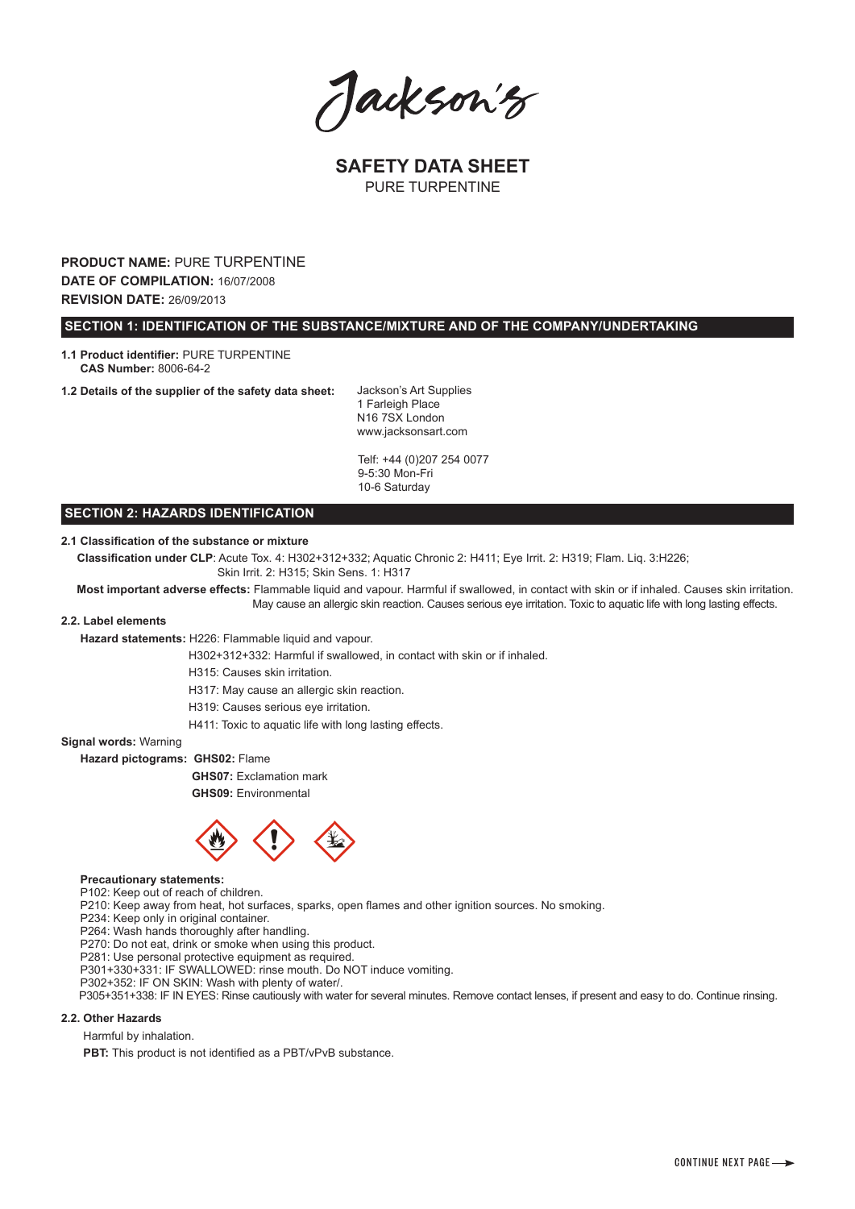Jackson's

**SAFETY DATA SHEET** PURE TURPENTINE

**PRODUCT NAME:** PURE TURPENTINE **DATE OF COMPILATION:** 16/07/2008 **REVISION DATE:** 26/09/2013

 **SECTION 1: IDENTIFICATION OF THE SUBSTANCE/MIXTURE AND OF THE COMPANY/UNDERTAKING**

**1.1 Product identifier:** PURE TURPENTINE  **CAS Number:** 8006-64-2

**1.2 Details of the supplier of the safety data sheet:**

Jackson's Art Supplies 1 Farleigh Place N16 7SX London www.jacksonsart.com

Telf: +44 (0)207 254 0077 9-5:30 Mon-Fri 10-6 Saturday

# **SECTION 2: HAZARDS IDENTIFICATION**

# **2.1 Classification of the substance or mixture**

 **Classification under CLP**: Acute Tox. 4: H302+312+332; Aquatic Chronic 2: H411; Eye Irrit. 2: H319; Flam. Liq. 3:H226; Skin Irrit. 2: H315; Skin Sens. 1: H317

 **Most important adverse effects:** Flammable liquid and vapour. Harmful if swallowed, in contact with skin or if inhaled. Causes skin irritation. May cause an allergic skin reaction. Causes serious eye irritation. Toxic to aquatic life with long lasting effects.

### **2.2. Label elements**

 **Hazard statements:** H226: Flammable liquid and vapour.

H302+312+332: Harmful if swallowed, in contact with skin or if inhaled.

H315: Causes skin irritation.

H317: May cause an allergic skin reaction.

H319: Causes serious eye irritation.

H411: Toxic to aquatic life with long lasting effects.

**Signal words:** Warning

 **Hazard pictograms: GHS02:** Flame

**GHS07:** Exclamation mark

**GHS09:** Environmental



### **Precautionary statements:**

P102: Keep out of reach of children.

P210: Keep away from heat, hot surfaces, sparks, open flames and other ignition sources. No smoking.

P234: Keep only in original container.

P264: Wash hands thoroughly after handling.

P270: Do not eat, drink or smoke when using this product.

P281: Use personal protective equipment as required.

P301+330+331: IF SWALLOWED: rinse mouth. Do NOT induce vomiting.

P302+352: IF ON SKIN: Wash with plenty of water/.

P305+351+338: IF IN EYES: Rinse cautiously with water for several minutes. Remove contact lenses, if present and easy to do. Continue rinsing.

## **2.2. Other Hazards**

Harmful by inhalation.

**PBT:** This product is not identified as a PBT/vPvB substance.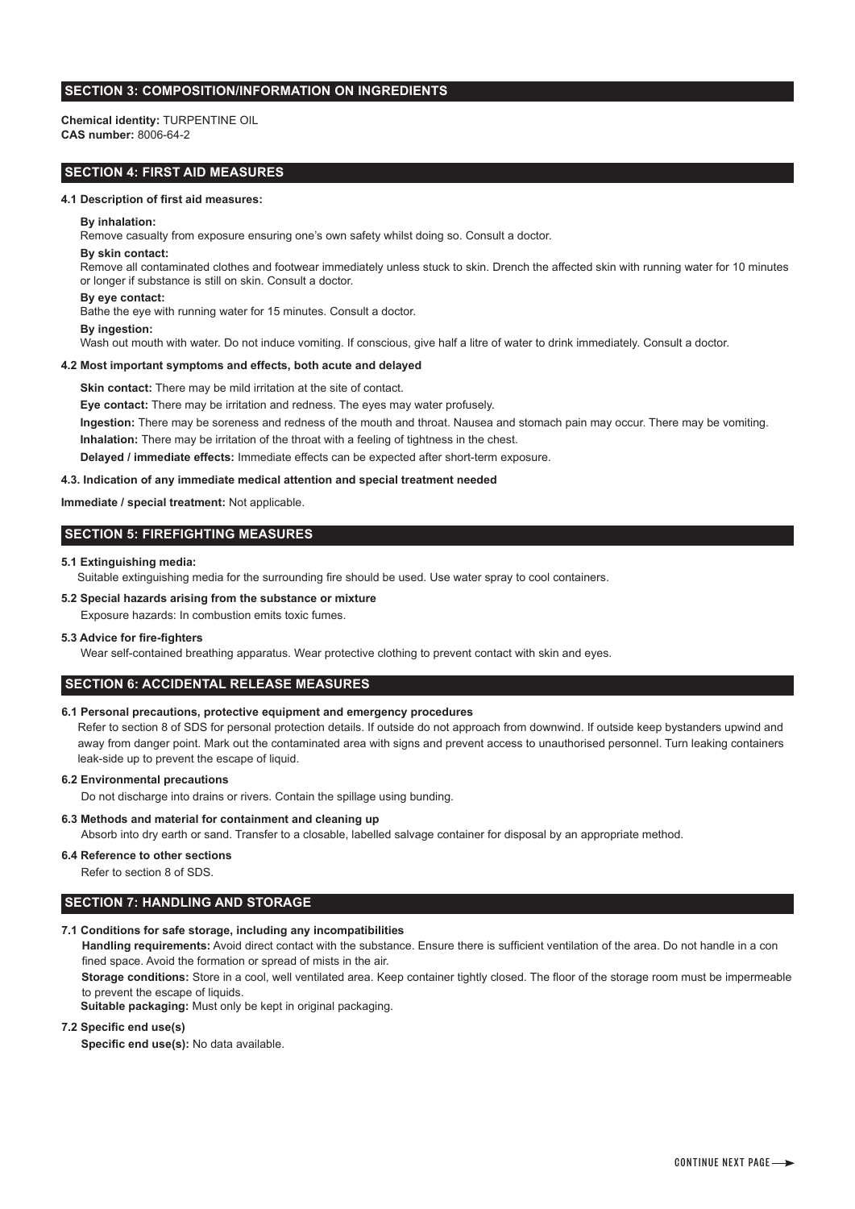# **SECTION 3: COMPOSITION/INFORMATION ON INGREDIENTS**

**Chemical identity:** TURPENTINE OIL **CAS number:** 8006-64-2

# **SECTION 4: FIRST AID MEASURES**

### **4.1 Description of first aid measures:**

#### **By inhalation:**

Remove casualty from exposure ensuring one's own safety whilst doing so. Consult a doctor.

#### **By skin contact:**

 Remove all contaminated clothes and footwear immediately unless stuck to skin. Drench the affected skin with running water for 10 minutes or longer if substance is still on skin. Consult a doctor.

### **By eye contact:**

Bathe the eye with running water for 15 minutes. Consult a doctor.

# **By ingestion:**

Wash out mouth with water. Do not induce vomiting. If conscious, give half a litre of water to drink immediately. Consult a doctor.

#### **4.2 Most important symptoms and effects, both acute and delayed**

**Skin contact:** There may be mild irritation at the site of contact.

 **Eye contact:** There may be irritation and redness. The eyes may water profusely. **Ingestion:** There may be soreness and redness of the mouth and throat. Nausea and stomach pain may occur. There may be vomiting. **Inhalation:** There may be irritation of the throat with a feeling of tightness in the chest.

**Delayed / immediate effects:** Immediate effects can be expected after short-term exposure.

### **4.3. Indication of any immediate medical attention and special treatment needed**

### **Immediate / special treatment:** Not applicable.

# **SECTION 5: FIREFIGHTING MEASURES**

### **5.1 Extinguishing media:**

Suitable extinguishing media for the surrounding fire should be used. Use water spray to cool containers.

### **5.2 Special hazards arising from the substance or mixture**

Exposure hazards: In combustion emits toxic fumes.

# **5.3 Advice for fire-fighters**

Wear self-contained breathing apparatus. Wear protective clothing to prevent contact with skin and eyes.

# **SECTION 6: ACCIDENTAL RELEASE MEASURES**

### **6.1 Personal precautions, protective equipment and emergency procedures**

Refer to section 8 of SDS for personal protection details. If outside do not approach from downwind. If outside keep bystanders upwind and away from danger point. Mark out the contaminated area with signs and prevent access to unauthorised personnel. Turn leaking containers leak-side up to prevent the escape of liquid.

### **6.2 Environmental precautions**

Do not discharge into drains or rivers. Contain the spillage using bunding.

### **6.3 Methods and material for containment and cleaning up**

Absorb into dry earth or sand. Transfer to a closable, labelled salvage container for disposal by an appropriate method.

# **6.4 Reference to other sections**

Refer to section 8 of SDS.

# **SECTION 7: HANDLING AND STORAGE**

### **7.1 Conditions for safe storage, including any incompatibilities**

 **Handling requirements:** Avoid direct contact with the substance. Ensure there is sufficient ventilation of the area. Do not handle in a con fined space. Avoid the formation or spread of mists in the air.

 **Storage conditions:** Store in a cool, well ventilated area. Keep container tightly closed. The floor of the storage room must be impermeable to prevent the escape of liquids.

 **Suitable packaging:** Must only be kept in original packaging.

### **7.2 Specific end use(s)**

 **Specific end use(s):** No data available.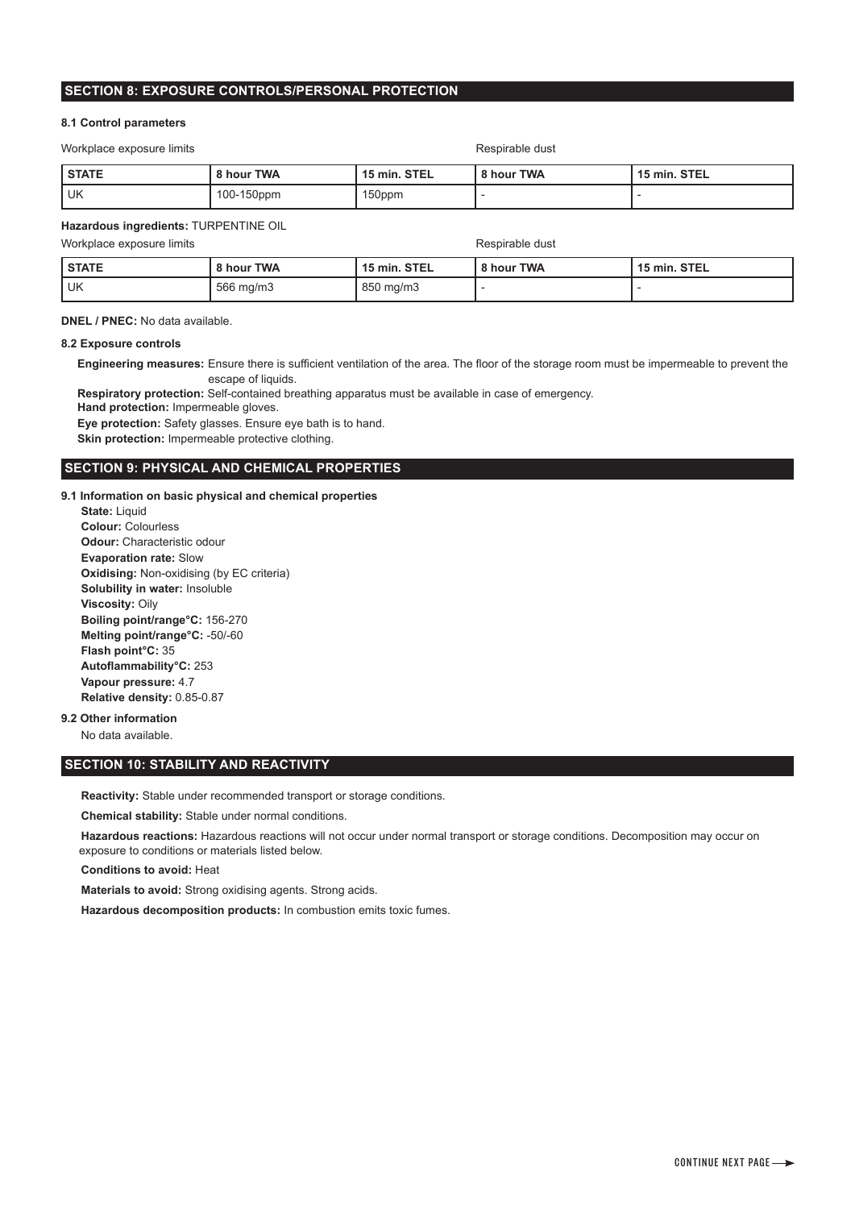# **SECTION 8: EXPOSURE CONTROLS/PERSONAL PROTECTION**

### **8.1 Control parameters**

Workplace exposure limits **Respirable dust** Respirable dust

| <b>STATE</b> | 8 hour TWA | 15 min. STEL | 8 hour TWA | 15 min. STEL |
|--------------|------------|--------------|------------|--------------|
| l uk         | 100-150ppm | 150ppm       |            |              |

## **Hazardous ingredients:** TURPENTINE OIL

Workplace exposure limits **Respirable dust** Respirable dust

| <b>STATE</b> | 8 hour TWA | 15 min. STEL | 8 hour TWA | 15 min. STEL |
|--------------|------------|--------------|------------|--------------|
| UK           | 566 mg/m3  | 850 mg/m3    |            |              |

**DNEL / PNEC:** No data available.

# **8.2 Exposure controls**

 **Engineering measures:** Ensure there is sufficient ventilation of the area. The floor of the storage room must be impermeable to prevent the escape of liquids.

 **Respiratory protection:** Self-contained breathing apparatus must be available in case of emergency.

 **Hand protection:** Impermeable gloves.

 **Eye protection:** Safety glasses. Ensure eye bath is to hand.

**Skin protection:** Impermeable protective clothing.

# **SECTION 9: PHYSICAL AND CHEMICAL PROPERTIES**

**9.1 Information on basic physical and chemical properties**

 **State:** Liquid  **Colour:** Colourless  **Odour:** Characteristic odour  **Evaporation rate:** Slow  **Oxidising:** Non-oxidising (by EC criteria)  **Solubility in water:** Insoluble  **Viscosity:** Oily  **Boiling point/range°C:** 156-270  **Melting point/range°C:** -50/-60  **Flash point°C:** 35  **Autoflammability°C:** 253  **Vapour pressure:** 4.7  **Relative density:** 0.85-0.87

# **9.2 Other information**

No data available.

# **SECTION 10: STABILITY AND REACTIVITY**

 **Reactivity:** Stable under recommended transport or storage conditions.

 **Chemical stability:** Stable under normal conditions.

 **Hazardous reactions:** Hazardous reactions will not occur under normal transport or storage conditions. Decomposition may occur on exposure to conditions or materials listed below.

 **Conditions to avoid:** Heat

 **Materials to avoid:** Strong oxidising agents. Strong acids.

 **Hazardous decomposition products:** In combustion emits toxic fumes.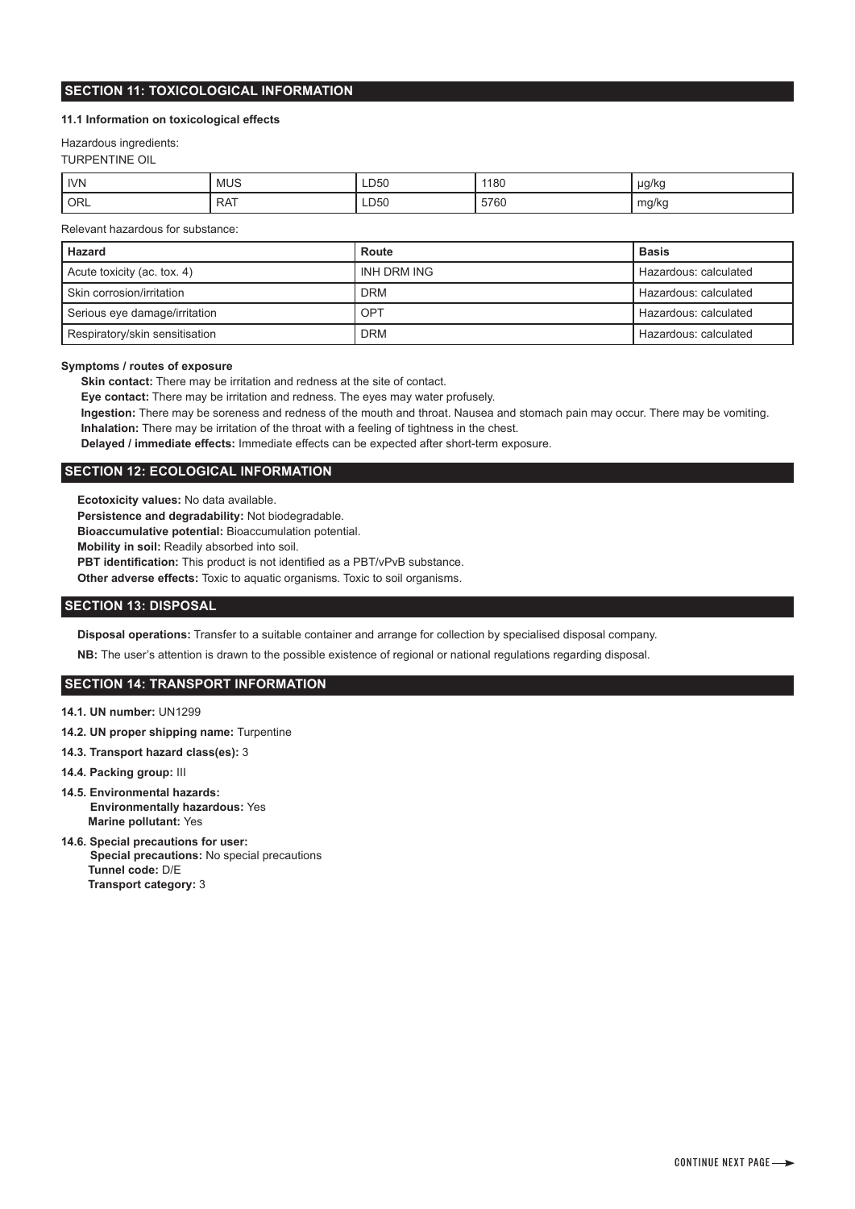# **11.1 Information on toxicological effects**

## Hazardous ingredients:

TURPENTINE OIL

| <b>IVN</b> | <b>MUS</b> | LD50 | 1180 | µg/kg |
|------------|------------|------|------|-------|
| ' ORL      | ר אם<br>`` | LD50 | 5760 | mg/kg |

Relevant hazardous for substance:

| Hazard                         | Route       | <b>Basis</b>          |
|--------------------------------|-------------|-----------------------|
| Acute toxicity (ac. tox. 4)    | INH DRM ING | Hazardous: calculated |
| Skin corrosion/irritation      | <b>DRM</b>  | Hazardous: calculated |
| Serious eye damage/irritation  | OPT         | Hazardous: calculated |
| Respiratory/skin sensitisation | <b>DRM</b>  | Hazardous: calculated |

### **Symptoms / routes of exposure**

 **Skin contact:** There may be irritation and redness at the site of contact.

 **Eye contact:** There may be irritation and redness. The eyes may water profusely.

 **Ingestion:** There may be soreness and redness of the mouth and throat. Nausea and stomach pain may occur. There may be vomiting.

 **Inhalation:** There may be irritation of the throat with a feeling of tightness in the chest.

 **Delayed / immediate effects:** Immediate effects can be expected after short-term exposure.

# **SECTION 12: ECOLOGICAL INFORMATION**

 **Ecotoxicity values:** No data available.

 **Persistence and degradability:** Not biodegradable.

 **Bioaccumulative potential:** Bioaccumulation potential.

 **Mobility in soil:** Readily absorbed into soil.

**PBT identification:** This product is not identified as a PBT/vPvB substance.

 **Other adverse effects:** Toxic to aquatic organisms. Toxic to soil organisms.

# **SECTION 13: DISPOSAL**

 **Disposal operations:** Transfer to a suitable container and arrange for collection by specialised disposal company.

 **NB:** The user's attention is drawn to the possible existence of regional or national regulations regarding disposal.

# **SECTION 14: TRANSPORT INFORMATION**

- **14.1. UN number:** UN1299
- **14.2. UN proper shipping name:** Turpentine
- **14.3. Transport hazard class(es):** 3
- **14.4. Packing group:** III
- **14.5. Environmental hazards: Environmentally hazardous:** Yes  **Marine pollutant:** Yes
- **14.6. Special precautions for user: Special precautions:** No special precautions  **Tunnel code:** D/E  **Transport category:** 3